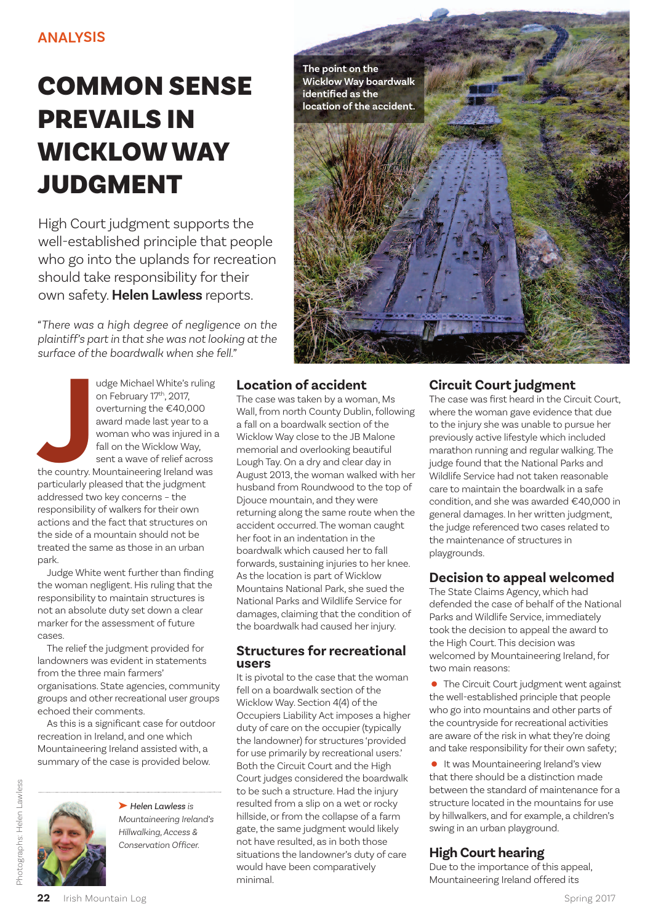# **COMMON SENSE PREVAILS IN WICKLOW WAY JUDGMENT**

High Court judgment supports the well-established principle that people who go into the uplands for recreation should take responsibility for their own safety. **Helen Lawless** reports.

*"There was a high degree of negligence on the plaintiff's partin that she was notlooking atthe surface ofthe boardwalk when she fell."*

**J** udge Michael White's ruling on February 17<sup>th</sup>, 2017, overturning the €40,000 award made last year to a woman who was injured in a fall on the Wicklow Way, sent a wave of relief across the country. Mountaineering Ireland was particularly pleased that the judgment addressed two key concerns – the responsibility of walkers for their own actions and the fact that structures on the side of a mountain should not be treated the same as those in an urban park.

Judge White went further than finding the woman negligent. His ruling that the responsibility to maintain structures is not an absolute duty set down a clear marker for the assessment of future cases.

The relief the judgment provided for landowners was evident in statements from the three main farmers' organisations. State agencies, community groups and other recreational user groups echoed their comments.

As this is a significant case for outdoor recreation in Ireland, and one which Mountaineering Ireland assisted with, a summary of the case is provided below.

Photographs: Helen Lawless Photographs: Helen Lawless



➤ *Helen Lawless is Mountaineering Ireland's Hillwalking,Access & Conservation Officer.*



## **Location of accident**

The case was taken by a woman, Ms Wall, from north County Dublin, following a fall on a boardwalk section of the Wicklow Way close to the JB Malone memorial and overlooking beautiful Lough Tay. On a dry and clear day in August 2013,the woman walked with her husband from Roundwood to the top of Djouce mountain, and they were returning along the same route when the accident occurred.The woman caught her foot in an indentation in the boardwalk which caused herto fall forwards, sustaining injuries to her knee. As the location is part of Wicklow Mountains National Park, she sued the National Parks and Wildlife Service for damages, claiming that the condition of the boardwalk had caused her injury.

### **Structures for recreational users**

It is pivotal to the case that the woman fell on a boardwalk section of the Wicklow Way. Section 4(4) of the Occupiers Liability Act imposes a higher duty of care on the occupier (typically the landowner) for structures 'provided for use primarily by recreational users.' Both the Circuit Court and the High Court judges considered the boardwalk to be such a structure. Had the injury resulted from a slip on a wet or rocky hillside, or from the collapse of a farm gate, the same judgment would likely not have resulted, as in both those situations the landowner's duty of care would have been comparatively minimal.

## **Circuit Court judgment**

The case was first heard in the Circuit Court, where the woman gave evidence that due to the injury she was unable to pursue her previously active lifestyle which included marathon running and regular walking.The judge found that the National Parks and Wildlife Service had not taken reasonable care to maintain the boardwalk in a safe condition, and she was awarded €40,000 in general damages. In her written judgment, the judge referenced two cases related to the maintenance of structures in playgrounds.

## **Decision to appeal welcomed**

The State Claims Agency, which had defended the case of behalf of the National Parks and Wildlife Service, immediately took the decision to appeal the award to the High Court. This decision was welcomed by Mountaineering Ireland, for two main reasons:

The Circuit Court judgment went against the well-established principle that people who go into mountains and other parts of the countryside for recreational activities are aware of the risk in what they're doing and take responsibility for their own safety;

•It was Mountaineering Ireland's view that there should be a distinction made between the standard of maintenance for a structure located in the mountains for use by hillwalkers, and for example, a children's swing in an urban playground.

## **High Court hearing**

Due to the importance of this appeal, Mountaineering Ireland offered its